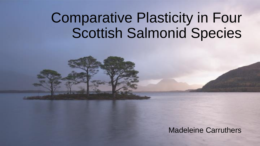# Comparative Plasticity in Four Scottish Salmonid Species

Madeleine Carruthers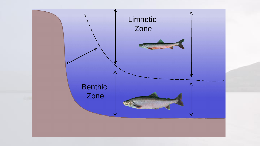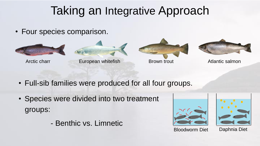# Taking an Integrative Approach

• Four species comparison.







- Full-sib families were produced for all four groups.
- Species were divided into two treatment groups:
	- Benthic vs. Limnetic





Bloodworm Diet Daphnia Diet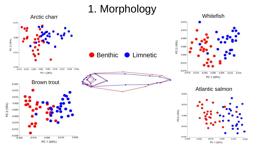#### 1. Morphology

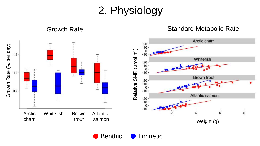2. Physiology

Growth Rate **Standard Metabolic Rate** Standard Metabolic Rate Arctic charr  $20 - 10 - 10$ Growth Rate (% per day) Growth Rate (% per day)  $\widehat{H}$  $\bf{0}$  $1.5 -10$ ع Whitefish Relative SMR (µmol  $20 \frac{10}{0}$ -<br>-10- $1.0 -$ Brown trout  $20 - 10 - 0 - 0 - 0$  $0.5 -10-$ Atlantic salmon  $^{20}_{10}$ -<br> $^{10}_{0}$ - $-10 \stackrel{1}{8}$ Arctic Whitefish Brown Atlantic 6 charr trout salmon Weight (g)

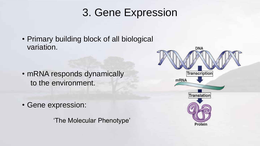## 3. Gene Expression

• Primary building block of all biological variation.

- mRNA responds dynamically to the environment.
- Gene expression:

'The Molecular Phenotype'

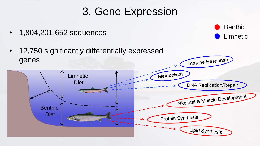### 3. Gene Expression

**Benthic** 

Limnetic

- 1,804,201,652 sequences
- 12,750 significantly differentially expressed genes